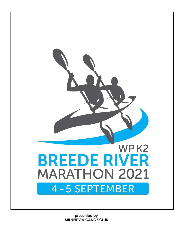

**presented by MILNERTON CANOE CLUB**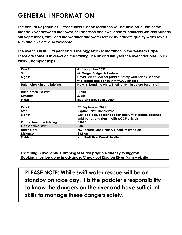### **GENERAL INFORMATION**

**The annual K2 (doubles) Breede River Canoe Marathon will be held on 71 km of the Breede River between the towns of Robertson and Swellendam, Saturday 4th and Sunday 5th September, 2021 and the weather and water forecasts indicate quality water levels. K1's and K3's are also welcome.** 

**The event is in its 53rd year and is the biggest river marathon in the Western Cape. There are some TOP crews on the starting line UP and this year the event doubles up as WPK2 Championships** 

| Day 1                              | 4 <sup>th</sup> September 2021                                                                           |  |
|------------------------------------|----------------------------------------------------------------------------------------------------------|--|
| Start                              | McGregor Bridge, Robertson                                                                               |  |
| Sign in                            | Covid Screen, collect paddler safety wrist bands, seconds<br>wrist bands and sign in with WCCU officials |  |
| <b>Batch check in and briefing</b> | No wrist band, no entry. Briefing 10 min before batch start                                              |  |
|                                    |                                                                                                          |  |
| Race batch 1st start               | 10h00                                                                                                    |  |
| <b>Distance</b>                    | 37km                                                                                                     |  |
| <b>Finish</b>                      | <b>Riggton Farm, Bonnievale</b>                                                                          |  |
|                                    |                                                                                                          |  |
| Day 2                              | 5 <sup>th</sup> September 2021                                                                           |  |
| Start                              | <b>Riggton Farm, Bonnievale</b>                                                                          |  |
| Sign in                            | Covid Screen, collect paddler safety wrist bands, seconds<br>wrist bands and sign in with WCCU officials |  |
| <b>Elapse time race briefing</b>   | 08h15                                                                                                    |  |
| <b>Elapsed time start</b>          | 08h30                                                                                                    |  |
| <b>Batch starts</b>                | NOT before 08h45, sms will confirm time slots                                                            |  |
| <b>Distance</b>                    | 33.5km                                                                                                   |  |
| <b>Finish</b>                      | Kam'bati River Resort, Swellendam                                                                        |  |
|                                    |                                                                                                          |  |

**Camping is available. Camping fees are payable directly to Riggton. Booking must be done in advance. Check out Riggton River Farm website**

**PLEASE NOTE: While swift water rescue will be on standby on race day, it is the paddler's responsibility to know the dangers on the river and have sufficient skills to manage these dangers safely.**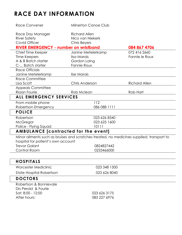## **RACE DAY INFORMATION**

| Race Convener                                                                             | <b>Milnerton Canoe Club</b> |                      |  |
|-------------------------------------------------------------------------------------------|-----------------------------|----------------------|--|
| Race Day Manager                                                                          | <b>Richard Allen</b>        |                      |  |
| <b>River Safety</b>                                                                       | Nico van Niekerk            |                      |  |
| Covid Officer                                                                             | <b>Chris Beyers</b>         |                      |  |
| <b>RIVER EMERGENCY - number on wristband</b>                                              |                             | 084 867 4706         |  |
| Chief Time Keeper                                                                         | Janine Metelerkamp          | 072 416 2660         |  |
| Time Keepers                                                                              | Ilsa Marais                 | Fannie le Roux       |  |
| A & B Batch starter                                                                       | Gordon Laing                |                      |  |
| C- Batch starter                                                                          | Fannie Roux                 |                      |  |
| <b>Race Officials</b>                                                                     |                             |                      |  |
| Janine Metelerkamp                                                                        | Ilse Marais                 |                      |  |
| <b>Race Committee</b>                                                                     |                             |                      |  |
| Lisa Scott                                                                                | <b>Chris Anderson</b>       | <b>Richard Allen</b> |  |
| <b>Appeals Committee</b>                                                                  |                             |                      |  |
| Riaan Fourie                                                                              | Rob Mclean                  | Rob Hart             |  |
| <b>ALL EMERGENCY SERVICES</b>                                                             |                             |                      |  |
| From mobile phone                                                                         | 112                         |                      |  |
| Robertson Emergency                                                                       | 086 088 1111                |                      |  |
| <b>POLICE</b>                                                                             |                             |                      |  |
| Robertson                                                                                 | 023 626 8340                |                      |  |
| McGregor                                                                                  | 023 625 1600                |                      |  |
| Police - Flying Squad                                                                     | 10111                       |                      |  |
| <b>AMBULANCE [contracted for the event]</b>                                               |                             |                      |  |
| Minor ailments such as bruises and scratches treated, no medicines supplied, transport to |                             |                      |  |
| hospital for patient's own account                                                        |                             |                      |  |
| <b>Trevor Galant</b>                                                                      | 0824827442                  |                      |  |
| Control Room                                                                              | 0233466000                  |                      |  |
|                                                                                           |                             |                      |  |
| <b>HOSPITALS</b>                                                                          |                             |                      |  |
| Worcester Mediclinic                                                                      | 023 348 1500                |                      |  |
| State Hospital Robertson                                                                  | 023 626 8040                |                      |  |
| <b>DOCTORS</b>                                                                            |                             |                      |  |
| Robertson & Bonnievale                                                                    |                             |                      |  |
| Drs Perold & Fourie                                                                       |                             |                      |  |
| Sat: 8:00 - 12:00                                                                         | 023 626 3175                |                      |  |
| After hours:                                                                              | 083 227 6976                |                      |  |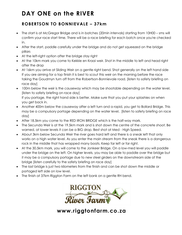# **DAY ONE on the RIVER**

### **ROBERTSON TO BONNIEVALE – 37km**

- The start is at McGregor Bridge and is in batches (20min intervals) starting from 10H00 sms will confirm your race start time. There will be a race briefing for each batch once you're checked in.
- After the start, paddle carefully under the bridge and do not get squeezed on the bridge pillars
- At the left-right option after the bridge stay right
- At the 10km mark you come to Kekkle en Kraai weir. Shot in the middle to left and head right after the drop
- At 16km you arrive at Sliding Weir on a gentle right bend. Shot generally on the left hand side If you are aiming for a top finish it is best to scout this weir on the morning before the race taking the Goudmyn turn off from the Robertson-Bonnievale road. [listen to safety briefing on race day]
- 100m below the weir is the causeway which may be shootable depending on the water level. [listen to safety briefing on race day] If you portage, the right hand side is better. Make sure that you put your splashies on when you get back in.
- Another 400m below the causeway after a left turn and a rapid, you get to Bollard Bridge. This may be a compulsory portage depending on the water level. [listen to safety briefing on race day]
- After 18.5km you come to the RED IRON BRIDGE which is the half-way mark.
- The Secunda Weir is at the 19.5km mark and is shot down the centre of the concrete shoot. Be warned, at lower levels it can be a BIG drop. Best shot at Med - High Speed.
- About 3km below Secunda Weir the river goes hard left and there is a sneak left that only works on a high water level. As you enter the main stream from the sneak there is a dangerous rock in the middle that has wrapped many boats. Keep far left or far right.
- At the 30.5km mark, you will come to the Jonkeer Bridge. On a low-med level you will paddle under the bridge on the left. On higher levels, you may be able to paddle over the bridge but it may be a compulsory portage due to new steel girders on the downstream side of the bridge [listen carefully to the safety briefing on race day]
- The last bridge is just two kilometers from the finish and can be shot down the middle or portaged left side on low level.
- The finish at 37km Riggton Farm on the left bank on a gentle RH bend.



**www.riggtonfarm.co.za**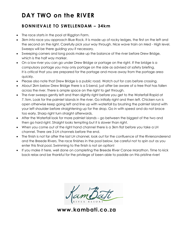# **DAY TWO on the RIVER**

### **BONNIEVALE TO SWELLENDAM – 34km**

- The race starts in the pool at Riggton Farm.
- 3km into race you approach Blue Rock. It is made up of rocky ledges, the first on the left and the second on the right. Carefully pick your way through. Nice wave train on Med - High level. Sweeps will be there guiding you if necessary.
- Sweeping corners and long pools make up the balance of the river before Drew Bridge, which is the half way marker.
- On a low river you can go under Drew Bridge or portage on the right. If the bridge is a compulsory portage you may only portage on the side as advised at safety briefing. It is critical that you are prepared for the portage and move away from the portage area quickly.
- Please also note that Drew Bridge is a public road. Watch out for cars before crossing.
- About 2km below Drew Bridge there is a S-bend, just after be aware of a tree that has fallen across the river. There is ample space on the right to get through.
- The river sweeps gently left and then slightly right before you get to the Waterfall Rapid at 7.1km. Look for the palmiet islands in the river. Go initially right and then left. Chicken run is open otherwise keep going left and line up with waterfall by brushing the palmiet island with your left shoulder before straightening up for the drop. Go in with speed and do not brace too early. Sharp right turn straight afterwards.
- After the Waterfall look for more palmiet islands go between the biggest of the two and then go hard right. Straight looks tempting but it is slower than right.
- When you come out of the right hand channel there is a 3km flat before you take a LH channel. There are 3 LH channels before the end.
- The finish is not far after the last LH channel, look out for the confluence of the Riviersonderend and the Breede Rivers. The race finishes in the pool below, be careful not to spin out as you enter this final pool. Swimming to the finish is not an option!
- If you make it here, well done on completing the Breede River Canoe Marathon. Time to kick back relax and be thankful for the privilege of been able to paddle on this pristine river!

**www.kambati.co.za**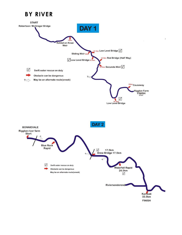### **BY RIVER**

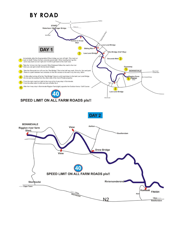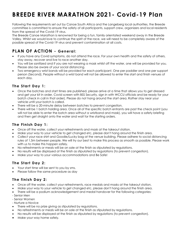# **BREEDE RIVER MARATHON 2021- Covid-19 Plan**

Following the requirements set out by Canoe South Africa and the Langeberg local authorities, the Breede committee is committed to ensure the safety of all participants, support crew, organizers and local residents from the spread of the Covid-19 virus.

The Breede Canoe Marathon is renowned for being a fun, family orientated weekend away in the Breede Valley. Whilst we would love to continue the spirit of the race, we will need to be completely aware of the possible spread of the Covid-19 virus and prevent contamination at all costs.

### **PLAN OF ACTION - General:**

- If you have any Covid symptoms, do not attend the race. For your own health and the safety of others, stay away, recover and live to race another day.
- You will be sanitized and if you are not wearing a mask whilst off the water, one will be provided for you. Please also be aware of your social distancing.
- Two emergency wrist bands will be provided for each participant. One per paddler and one per support person (Second). People without a wrist band will not be allowed to enter the start and finish venues of each day.

#### **The Start Day 1:**

- Once the batches and start times are published, please arrive at a time that allows you to get dressed and get your kit in order, Covid screen with BSS Security, sign in with WCCU officials and be ready for your batch check in call in that order). Please do not hang around the start area. Rather stay near your vehicle until your batch is called.
- There will be a 20-minute delay between batches to prevent congestion.
- There will be 1 batch holding area. Once all of the specific batch entrants are past the check point (you will not be able to enter the batch area without a wristband and mask), you will have a safety briefing and then get straight onto the water and wait for the starting orders.

#### **The Finish Day 1:**

- Once off the water, collect your refreshments and mask at the takeout station.
- Make your way to your vehicle to get changed etc, please don't hang around the finish area.
- Collect your race shirt and Goodie/Lucky bag at the venue building. Please adhere to social distancing rules of 1,5m between people. We will try our best to make this process as smooth as possible. Please work with us to make this happen safely.
- No refreshments or meals will be on sale at the finish as stipulated by regulations.
- No results will be displayed at the finish as stipulated by regulations (to prevent congestion).
- Make your way to your various accommodations and Be Safe!

#### **The Start Day 2:**

- Your start time will be sent to you by sms.
- Please follow the same procedure as day

#### **The finish Day 2:**

- Once off the water, collect your refreshments, race medals and masks at the takeout station.
- Make your way to your vehicle to get changed etc, please don't hang around the finish area.
- There will be a podium acknowledgement and medal handover for the following categories:
- Senior Men
- Senior Women
- Nurture a Novice
- There will be no prize giving as stipulated by regulations.
- No refreshments or meals will be on sale at the finish as stipulated by regulations.
- No results will be displayed at the finish as stipulated by regulations (to prevent congestion).
- Make your way home safely.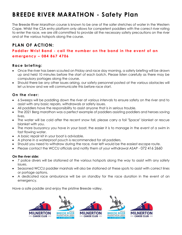# **BREEDE RIVER MARATHON - Safety Plan**

The Breede River Marathon course is known to be one of the safer stretches of water in the Western Cape. Whilst the CSA entry platform only allows for competent paddlers with the correct river rating to enter the race, we are still committed to provide all the necessary safety precautions on the river and at the various hotspots along the course.

### **PLAN OF ACTION:**

#### **Paddler Wrist Band - call the number on the band in the event of an emergency – 084 867 4706**

#### **Race briefing:**

- Once the river has been scouted on Friday and race day morning, a safety briefing will be drawn up and held 10 minutes before the start of each batch. Please listen carefully as there may be compulsory portages along the course.
- Should there be any other issues arising, our safety personnel posted at the various obstacles will let us know and we will communicate this before race start.

#### **On the river:**

- 6 Sweeps will be paddling down the river at various intervals to ensure safety on the river and to assist with any basic repairs, withdrawals or safety issues.
- All paddlers have the responsibility to assist anyone that is in serious trouble.
- The 2021 Berg marathon was a perfect example of paddlers assisting paddlers and heroes saving lives.
- The water will be cold after the recent snow fall, please carry a foil "Space" blanket or rescue blanket with you.
- The more buoyancy you have in your boat, the easier it is to manage in the event of a swim in fast flowing water.
- A basic repair kit in your boat is advisable.
- A phone in a waterproof pouch is recommended for all paddlers.
- Should you need to withdraw during the race, river left would be the easiest escape route.
- Please contact the WCCU officials and notify them of your withdrawal ASAP 072 416 2660

#### **On the river side:**

- 7 police divers will be stationed at the various hotspots along the way to assist with any safety issues.
- Seasoned WCCU paddler marshals will also be stationed at these spots to assist with correct lines or portage options.
- A dedicated race ambulance will be on standby for the race duration in the event of an emergency.

Have a safe paddle and enjoy the pristine Breede valley.